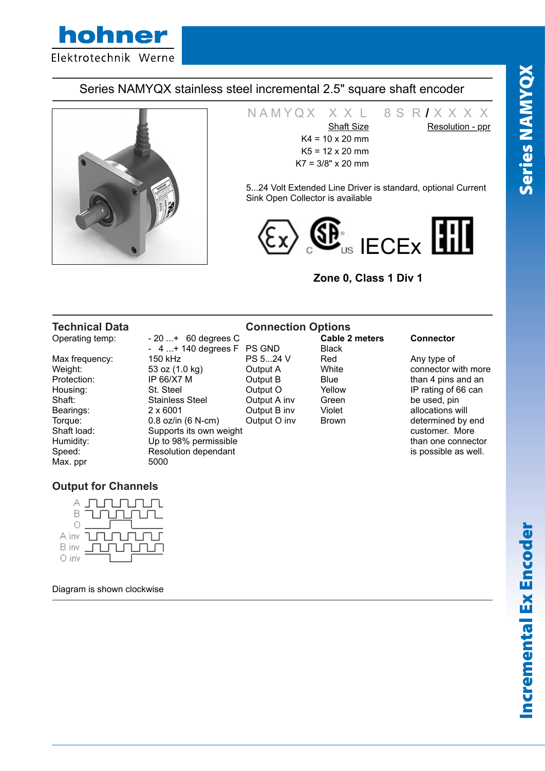# Series NAMYQX stainless steel incremental 2.5" square shaft encoder



N A M Y Q X X X L 8 S R **/** X X X X X Shaft Size Resolution - ppr Resolution - ppr  $K4 = 10 \times 20$  mm  $K5 = 12 \times 20$  mm K7 = 3/8" x 20 mm

5...24 Volt Extended Line Driver is standard, optional Current Sink Open Collector is available



## **Zone 0, Class 1 Div 1**

| <b>Technical Data</b> |                         | <b>Connection Options</b> |                       |                      |
|-----------------------|-------------------------|---------------------------|-----------------------|----------------------|
| Operating temp:       | $-20+ 60$ degrees C     |                           | <b>Cable 2 meters</b> | <b>Connector</b>     |
|                       | $-4+140$ degrees F      | <b>PS GND</b>             | <b>Black</b>          |                      |
| Max frequency:        | 150 kHz                 | PS 524 V                  | Red                   | Any type of          |
| Weight:               | 53 oz (1.0 kg)          | Output A                  | White                 | connector with more  |
| Protection:           | IP 66/X7 M              | Output B                  | <b>Blue</b>           | than 4 pins and an   |
| Housing:              | St. Steel               | Output O                  | Yellow                | IP rating of 66 can  |
| Shaft:                | <b>Stainless Steel</b>  | Output A inv              | Green                 | be used, pin         |
| Bearings:             | $2 \times 6001$         | Output B inv              | Violet                | allocations will     |
| Torque:               | $0.8$ oz/in (6 N-cm)    | Output O inv              | <b>Brown</b>          | determined by end    |
| Shaft load:           | Supports its own weight |                           |                       | customer. More       |
| Humidity:             | Up to 98% permissible   |                           |                       | than one connector   |
| Speed:                | Resolution dependant    |                           |                       | is possible as well. |
| Max. ppr              | 5000                    |                           |                       |                      |

## **Output for Channels**



Diagram is shown clockwise

Series NAMYQX

**Series NAMYQX**